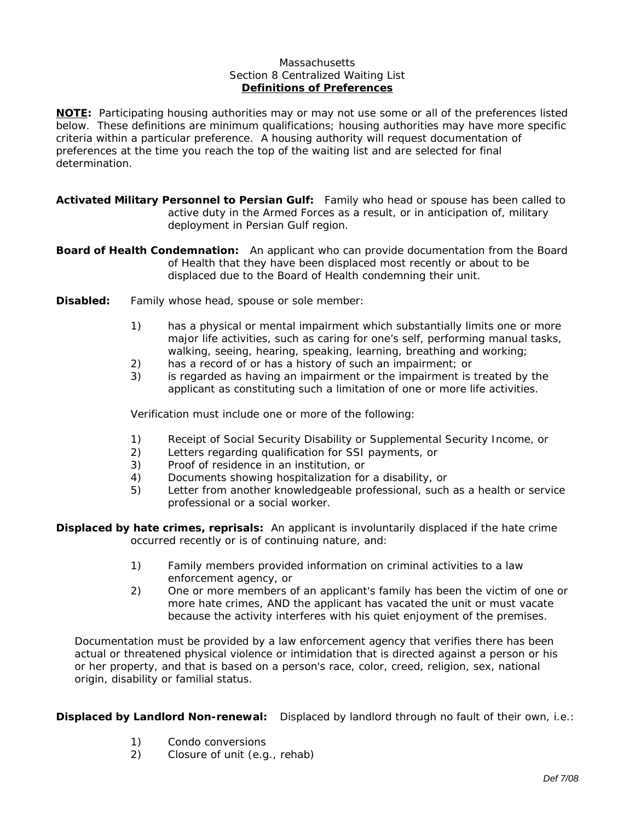## **Massachusetts** Section 8 Centralized Waiting List **Definitions of Preferences**

**NOTE:** *Participating housing authorities may or may not use some or all of the preferences listed below. These definitions are minimum qualifications; housing authorities may have more specific criteria within a particular preference. A housing authority will request documentation of preferences at the time you reach the top of the waiting list and are selected for final determination.*

**Activated Military Personnel to Persian Gulf:** Family who head or spouse has been called to active duty in the Armed Forces as a result, or in anticipation of, military deployment in Persian Gulf region.

**Board of Health Condemnation:** An applicant who can provide documentation from the Board of Health that they have been displaced most recently or about to be displaced due to the Board of Health condemning their unit.

- **Disabled:** Family whose head, spouse or sole member:
	- 1) has a physical or mental impairment which substantially limits one or more major life activities, such as caring for one's self, performing manual tasks, walking, seeing, hearing, speaking, learning, breathing and working;
	- 2) has a record of or has a history of such an impairment; or
	- 3) is regarded as having an impairment or the impairment is treated by the applicant as constituting such a limitation of one or more life activities.

Verification must include one or more of the following:

- 1) Receipt of Social Security Disability or Supplemental Security Income, or
- 2) Letters regarding qualification for SSI payments, or
- 3) Proof of residence in an institution, or
- 4) Documents showing hospitalization for a disability, or
- 5) Letter from another knowledgeable professional, such as a health or service professional or a social worker.

**Displaced by hate crimes, reprisals:** An applicant is involuntarily displaced if the hate crime occurred recently or is of continuing nature, and:

- 1) Family members provided information on criminal activities to a law enforcement agency, or
- 2) One or more members of an applicant's family has been the victim of one or more hate crimes, AND the applicant has vacated the unit or must vacate because the activity interferes with his quiet enjoyment of the premises.

Documentation must be provided by a law enforcement agency that verifies there has been actual or threatened physical violence or intimidation that is directed against a person or his or her property, and that is based on a person's race, color, creed, religion, sex, national origin, disability or familial status.

**Displaced by Landlord Non-renewal:** Displaced by landlord through no fault of their own, i.e.:

- 1) Condo conversions
- 2) Closure of unit (e.g., rehab)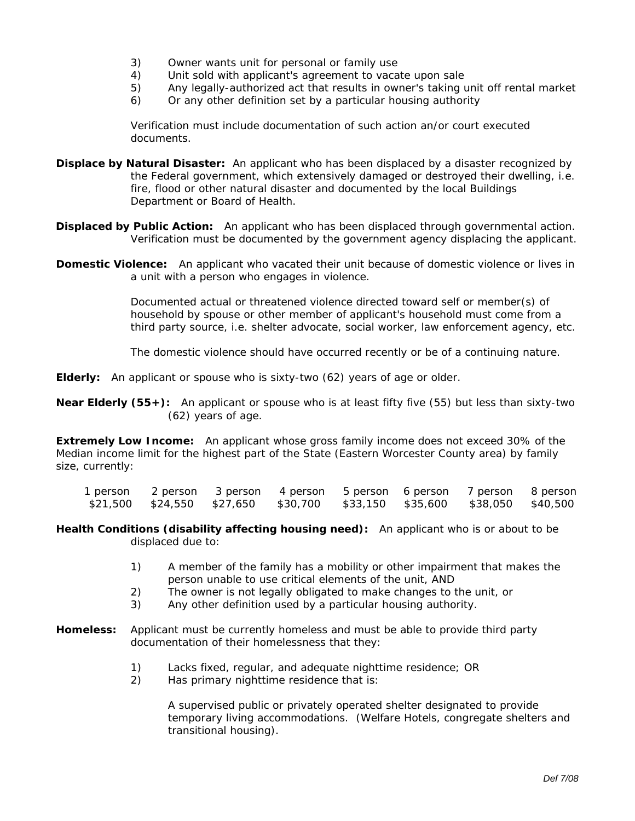- 3) Owner wants unit for personal or family use
- 4) Unit sold with applicant's agreement to vacate upon sale
- 5) Any legally-authorized act that results in owner's taking unit off rental market
- 6) Or any other definition set by a particular housing authority

Verification must include documentation of such action an/or court executed documents.

- **Displace by Natural Disaster:** An applicant who has been displaced by a disaster recognized by the Federal government, which extensively damaged or destroyed their dwelling, i.e. fire, flood or other natural disaster and documented by the local Buildings Department or Board of Health.
- **Displaced by Public Action:** An applicant who has been displaced through governmental action. Verification must be documented by the government agency displacing the applicant.
- **Domestic Violence:** An applicant who vacated their unit because of domestic violence or lives in a unit with a person who engages in violence.

Documented actual or threatened violence directed toward self or member(s) of household by spouse or other member of applicant's household must come from a third party source, i.e. shelter advocate, social worker, law enforcement agency, etc.

The domestic violence should have occurred recently or be of a continuing nature.

**Elderly:** An applicant or spouse who is sixty-two (62) years of age or older.

**Near Elderly (55+):** An applicant or spouse who is at least fifty five (55) but less than sixty-two (62) years of age.

**Extremely Low Income:** An applicant whose gross family income does not exceed 30% of the Median income limit for the highest part of the State (Eastern Worcester County area) by family size, currently:

| l person | 2 person 3 person 4 person |  | 5 person 6 person 7 person 8 person                                              |  |
|----------|----------------------------|--|----------------------------------------------------------------------------------|--|
| \$21,500 |                            |  | \$24,550    \$27,650    \$30,700    \$33,150    \$35,600    \$38,050    \$40,500 |  |

**Health Conditions (disability affecting housing need):** An applicant who is or about to be displaced due to:

- 1) A member of the family has a mobility or other impairment that makes the person unable to use critical elements of the unit, AND
- 2) The owner is not legally obligated to make changes to the unit, or
- 3) Any other definition used by a particular housing authority.
- **Homeless:** Applicant must be currently homeless and must be able to provide third party documentation of their homelessness that they:
	- 1) Lacks fixed, regular, and adequate nighttime residence; OR
	- 2) Has primary nighttime residence that is:

A supervised public or privately operated shelter designated to provide temporary living accommodations. (Welfare Hotels, congregate shelters and transitional housing).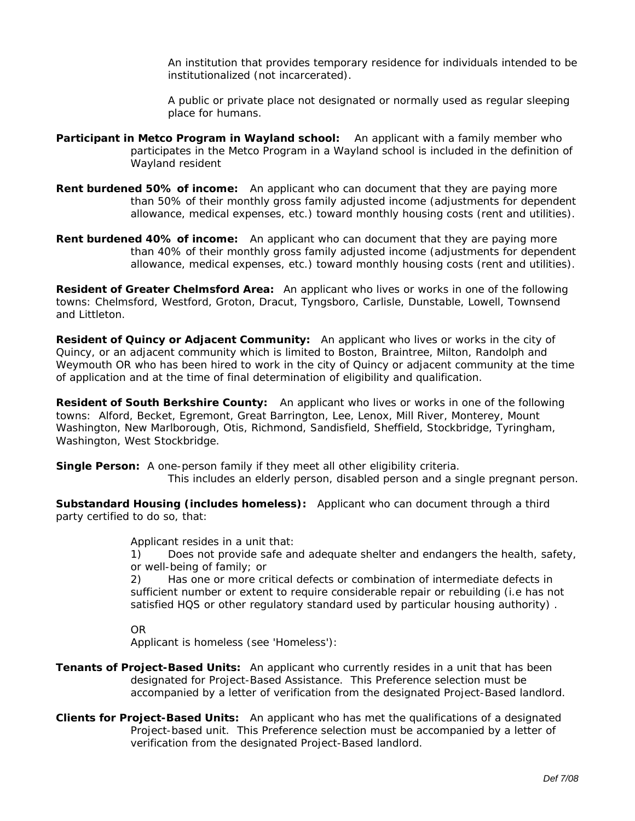An institution that provides temporary residence for individuals intended to be institutionalized (not incarcerated).

A public or private place not designated or normally used as regular sleeping place for humans.

- **Participant in Metco Program in Wayland school:** An applicant with a family member who participates in the Metco Program in a Wayland school is included in the definition of Wayland resident
- **Rent burdened 50% of income:** An applicant who can document that they are paying more than 50% of their monthly gross family adjusted income (adjustments for dependent allowance, medical expenses, etc.) toward monthly housing costs (rent and utilities).
- **Rent burdened 40% of income:** An applicant who can document that they are paying more than 40% of their monthly gross family adjusted income (adjustments for dependent allowance, medical expenses, etc.) toward monthly housing costs (rent and utilities).

**Resident of Greater Chelmsford Area:** An applicant who lives or works in one of the following towns: Chelmsford, Westford, Groton, Dracut, Tyngsboro, Carlisle, Dunstable, Lowell, Townsend and Littleton.

**Resident of Quincy or Adjacent Community:** An applicant who lives or works in the city of Quincy, or an adjacent community which is limited to Boston, Braintree, Milton, Randolph and Weymouth OR who has been hired to work in the city of Quincy or adjacent community at the time of application and at the time of final determination of eligibility and qualification.

**Resident of South Berkshire County:** An applicant who lives or works in one of the following towns: Alford, Becket, Egremont, Great Barrington, Lee, Lenox, Mill River, Monterey, Mount Washington, New Marlborough, Otis, Richmond, Sandisfield, Sheffield, Stockbridge, Tyringham, Washington, West Stockbridge.

**Single Person:** A one-person family if they meet all other eligibility criteria.

This includes an elderly person, disabled person and a single pregnant person.

**Substandard Housing (includes homeless):** Applicant who can document through a third party certified to do so, that:

Applicant resides in a unit that:

1) Does not provide safe and adequate shelter and endangers the health, safety, or well-being of family; or

2) Has one or more critical defects or combination of intermediate defects in sufficient number or extent to require considerable repair or rebuilding (i.e has not satisfied HQS or other regulatory standard used by particular housing authority) .

## OR

Applicant is homeless (see 'Homeless'):

- **Tenants of Project-Based Units:** An applicant who currently resides in a unit that has been designated for Project-Based Assistance. This Preference selection must be accompanied by a letter of verification from the designated Project-Based landlord.
- **Clients for Project-Based Units:** An applicant who has met the qualifications of a designated Project-based unit. This Preference selection must be accompanied by a letter of verification from the designated Project-Based landlord.